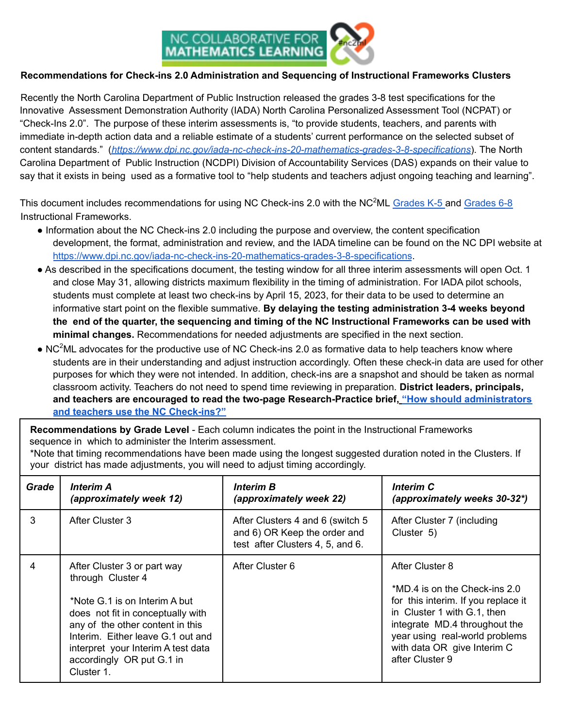

## **Recommendations for Check-ins 2.0 Administration and Sequencing of Instructional Frameworks Clusters**

Recently the North Carolina Department of Public Instruction released the grades 3-8 test specifications for the Innovative Assessment Demonstration Authority (IADA) North Carolina Personalized Assessment Tool (NCPAT) or "Check-Ins 2.0". The purpose of these interim assessments is, "to provide students, teachers, and parents with immediate in-depth action data and a reliable estimate of a students' current performance on the selected subset of content standards." (*https://www.dpi.nc.gov/iada-nc-check-ins-20-mathematics-grades-3-8-specifications*). The North Carolina Department of Public Instruction (NCDPI) Division of Accountability Services (DAS) expands on their value to say that it exists in being used as a formative tool to "help students and teachers adjust ongoing teaching and learning".

This document includes recommendations for using NC Check-ins 2.0 with the NC<sup>2</sup>ML Grades K-5 and Grades 6-8 Instructional Frameworks.

- Information about the NC Check-ins 2.0 including the purpose and overview, the content specification development, the format, administration and review, and the IADA timeline can be found on the NC DPI website at https://www.dpi.nc.gov/iada-nc-check-ins-20-mathematics-grades-3-8-specifications.
- As described in the specifications document, the testing window for all three interim assessments will open Oct. 1 and close May 31, allowing districts maximum flexibility in the timing of administration. For IADA pilot schools, students must complete at least two check-ins by April 15, 2023, for their data to be used to determine an informative start point on the flexible summative. **By delaying the testing administration 3-4 weeks beyond** the end of the quarter, the sequencing and timing of the NC Instructional Frameworks can be used with **minimal changes.** Recommendations for needed adjustments are specified in the next section.
- $\bullet$  NC<sup>2</sup>ML advocates for the productive use of NC Check-ins 2.0 as formative data to help teachers know where students are in their understanding and adjust instruction accordingly. Often these check-in data are used for other purposes for which they were not intended. In addition, check-ins are a snapshot and should be taken as normal classroom activity. Teachers do not need to spend time reviewing in preparation. **District leaders, principals, and teachers are encouraged to read the two-page Research-Practice brief, "How should administrators and teachers use the NC Check-ins?"**

**Recommendations by Grade Level** - Each column indicates the point in the Instructional Frameworks sequence in which to administer the Interim assessment.

\*Note that timing recommendations have been made using the longest suggested duration noted in the Clusters. If your district has made adjustments, you will need to adjust timing accordingly.

| Grade | <b>Interim A</b><br>(approximately week 12)                                                                                                                                                                                                                                      | <b>Interim B</b><br>(approximately week 22)                                                          | <b>Interim C</b><br>(approximately weeks 30-32*)                                                                                                                                                                                            |
|-------|----------------------------------------------------------------------------------------------------------------------------------------------------------------------------------------------------------------------------------------------------------------------------------|------------------------------------------------------------------------------------------------------|---------------------------------------------------------------------------------------------------------------------------------------------------------------------------------------------------------------------------------------------|
| 3     | After Cluster 3                                                                                                                                                                                                                                                                  | After Clusters 4 and 6 (switch 5<br>and 6) OR Keep the order and<br>test after Clusters 4, 5, and 6. | After Cluster 7 (including<br>Cluster 5)                                                                                                                                                                                                    |
| 4     | After Cluster 3 or part way<br>through Cluster 4<br>*Note G.1 is on Interim A but<br>does not fit in conceptually with<br>any of the other content in this<br>Interim. Either leave G.1 out and<br>interpret your Interim A test data<br>accordingly OR put G.1 in<br>Cluster 1. | After Cluster 6                                                                                      | After Cluster 8<br>*MD.4 is on the Check-ins 2.0<br>for this interim. If you replace it<br>in Cluster 1 with G.1, then<br>integrate MD.4 throughout the<br>year using real-world problems<br>with data OR give Interim C<br>after Cluster 9 |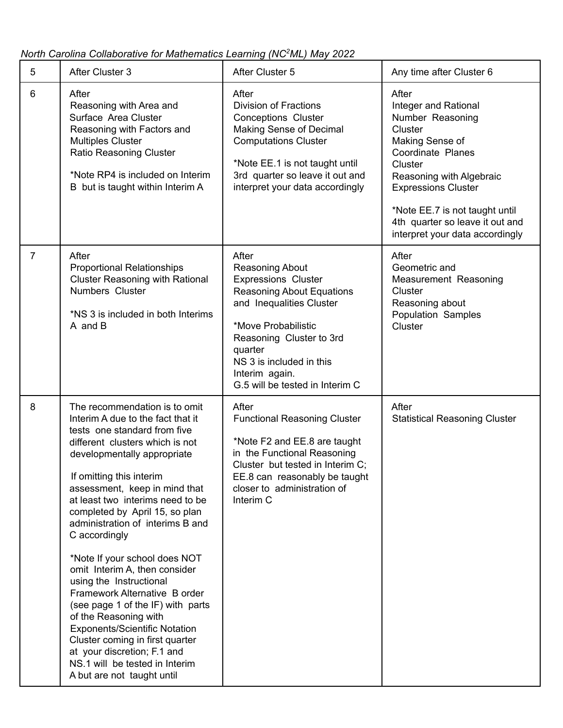*North Carolina Collaborative for Mathematics Learning (NC <sup>2</sup>ML) May 2022*

| 5              | After Cluster 3                                                                                                                                                                                                                                                                                                                                                                                                                                                                                                                                                                                                                                                                                                                    | After Cluster 5                                                                                                                                                                                                                                                       | Any time after Cluster 6                                                                                                                                                                                                                                                          |
|----------------|------------------------------------------------------------------------------------------------------------------------------------------------------------------------------------------------------------------------------------------------------------------------------------------------------------------------------------------------------------------------------------------------------------------------------------------------------------------------------------------------------------------------------------------------------------------------------------------------------------------------------------------------------------------------------------------------------------------------------------|-----------------------------------------------------------------------------------------------------------------------------------------------------------------------------------------------------------------------------------------------------------------------|-----------------------------------------------------------------------------------------------------------------------------------------------------------------------------------------------------------------------------------------------------------------------------------|
| 6              | After<br>Reasoning with Area and<br>Surface Area Cluster<br>Reasoning with Factors and<br><b>Multiples Cluster</b><br>Ratio Reasoning Cluster<br>*Note RP4 is included on Interim<br>B but is taught within Interim A                                                                                                                                                                                                                                                                                                                                                                                                                                                                                                              | After<br><b>Division of Fractions</b><br><b>Conceptions Cluster</b><br><b>Making Sense of Decimal</b><br><b>Computations Cluster</b><br>*Note EE.1 is not taught until<br>3rd quarter so leave it out and<br>interpret your data accordingly                          | After<br>Integer and Rational<br>Number Reasoning<br>Cluster<br>Making Sense of<br>Coordinate Planes<br>Cluster<br>Reasoning with Algebraic<br><b>Expressions Cluster</b><br>*Note EE.7 is not taught until<br>4th quarter so leave it out and<br>interpret your data accordingly |
| $\overline{7}$ | After<br><b>Proportional Relationships</b><br><b>Cluster Reasoning with Rational</b><br>Numbers Cluster<br>*NS 3 is included in both Interims<br>A and B                                                                                                                                                                                                                                                                                                                                                                                                                                                                                                                                                                           | After<br>Reasoning About<br><b>Expressions Cluster</b><br><b>Reasoning About Equations</b><br>and Inequalities Cluster<br>*Move Probabilistic<br>Reasoning Cluster to 3rd<br>quarter<br>NS 3 is included in this<br>Interim again.<br>G.5 will be tested in Interim C | After<br>Geometric and<br>Measurement Reasoning<br>Cluster<br>Reasoning about<br>Population Samples<br>Cluster                                                                                                                                                                    |
| 8              | The recommendation is to omit<br>Interim A due to the fact that it<br>tests one standard from five<br>different clusters which is not<br>developmentally appropriate<br>If omitting this interim<br>assessment, keep in mind that<br>at least two interims need to be<br>completed by April 15, so plan<br>administration of interims B and<br>C accordingly<br>*Note If your school does NOT<br>omit Interim A, then consider<br>using the Instructional<br>Framework Alternative B order<br>(see page 1 of the IF) with parts<br>of the Reasoning with<br><b>Exponents/Scientific Notation</b><br>Cluster coming in first quarter<br>at your discretion; F.1 and<br>NS.1 will be tested in Interim<br>A but are not taught until | After<br><b>Functional Reasoning Cluster</b><br>*Note F2 and EE.8 are taught<br>in the Functional Reasoning<br>Cluster but tested in Interim C;<br>EE.8 can reasonably be taught<br>closer to administration of<br>Interim C                                          | After<br><b>Statistical Reasoning Cluster</b>                                                                                                                                                                                                                                     |